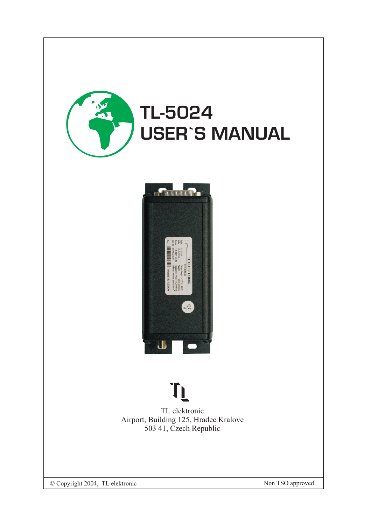

## **USER`S MANUAL**



### TL

TL elektronic Airport, Building 125, Hradec Kralove 503 41, Czech Republic

© Copyright 2004, TL elektronic Non TSO approved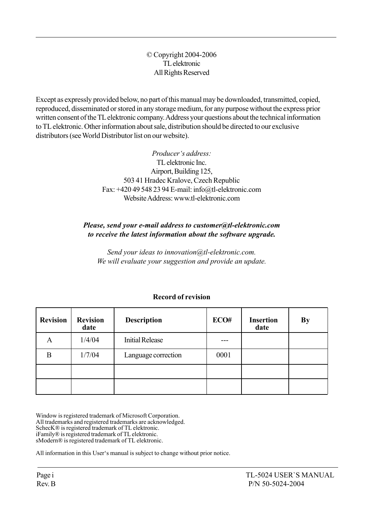#### © Copyright 2004-2006 TL elektronic All Rights Reserved

Except as expressly provided below, no part of this manual may be downloaded, transmitted, copied, reproduced, disseminated or stored in any storage medium, for any purpose without the express prior written consent of the TL elektronic company. Address your questions about the technical information to TL elektronic. Other information about sale, distribution should be directed to our exclusive distributors (see World Distributor list on our website).

> Producer's address: TL elektronic Inc. Airport, Building 125, 503 41 Hradec Kralove, Czech Republic Fax: +420 49 548 23 94 E-mail: info@tl-elektronic.com Website Address: www.tl-elektronic.com

#### Please, send your e-mail address to customer@tl-elektronic.com to receive the latest information about the software upgrade.

Send your ideas to innovation@tl-elektronic.com. We will evaluate your suggestion and provide an update.

| <b>Revision</b> | <b>Revision</b><br>date | <b>Description</b>     | ECO# | <b>Insertion</b><br>date | <b>By</b> |
|-----------------|-------------------------|------------------------|------|--------------------------|-----------|
| Α               | 1/4/04                  | <b>Initial Release</b> |      |                          |           |
| B               | 1/7/04                  | Language correction    | 0001 |                          |           |
|                 |                         |                        |      |                          |           |
|                 |                         |                        |      |                          |           |

#### Record of revision

Window is registered trademark of Microsoft Corporation. All trademarks and registered trademarks are acknowledged. SchecK® is registered trademark of TL elektronic. iFamilyÆ is registered trademark of TL elektronic. sModern® is registered trademark of TL elektronic.

All information in this User's manual is subject to change without prior notice.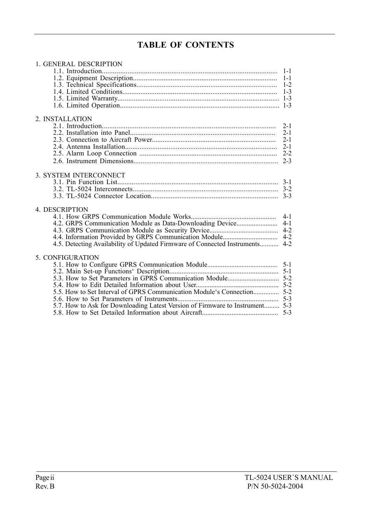#### TABLE OF CONTENTS

| 1. GENERAL DESCRIPTION                                                       |         |
|------------------------------------------------------------------------------|---------|
|                                                                              | $1 - 1$ |
|                                                                              | $1 - 1$ |
|                                                                              | $1-2$   |
|                                                                              |         |
|                                                                              |         |
|                                                                              |         |
|                                                                              |         |
| 2. INSTALLATION                                                              |         |
|                                                                              | $2 - 1$ |
|                                                                              | $2 - 1$ |
|                                                                              | $2 - 1$ |
|                                                                              | $2 - 1$ |
|                                                                              | $2 - 2$ |
|                                                                              | $2 - 3$ |
|                                                                              |         |
| 3. SYSTEM INTERCONNECT                                                       |         |
|                                                                              |         |
|                                                                              |         |
|                                                                              |         |
|                                                                              |         |
| 4. DESCRIPTION                                                               |         |
|                                                                              | $4-1$   |
| 4.2. GRPS Communication Module as Data-Downloading Device                    | $4-1$   |
|                                                                              | $4 - 2$ |
|                                                                              | $4-2$   |
| 4.5. Detecting Availability of Updated Firmware of Connected Instruments 4-2 |         |
|                                                                              |         |
| 5. CONFIGURATION                                                             |         |
|                                                                              |         |
|                                                                              |         |
|                                                                              |         |
|                                                                              |         |
|                                                                              |         |
|                                                                              |         |
| 5.7. How to Ask for Downloading Latest Version of Firmware to Instrument 5-3 |         |
|                                                                              |         |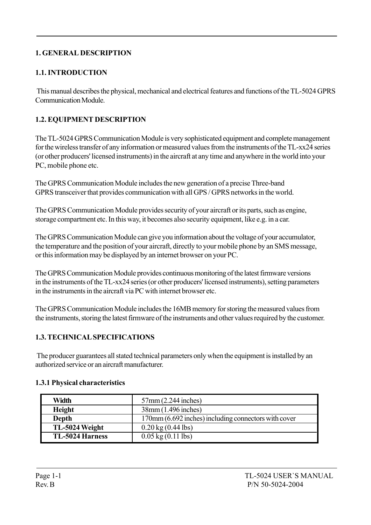#### 1. GENERAL DESCRIPTION

#### 1.1. INTRODUCTION

 This manual describes the physical, mechanical and electrical features and functions of the TL-5024 GPRS Communication Module.

#### 1.2. EQUIPMENT DESCRIPTION

The TL-5024 GPRS Communication Module is very sophisticated equipment and complete management for the wireless transfer of any information or measured values from the instruments of the TL-xx24 series (or other producers' licensed instruments) in the aircraft at any time and anywhere in the world into your PC, mobile phone etc.

The GPRS Communication Module includes the new generation of a precise Three-band GPRS transceiver that provides communication with all GPS / GPRS networks in the world.

The GPRS Communication Module provides security of your aircraft or its parts, such as engine, storage compartment etc. In this way, it becomes also security equipment, like e.g. in a car.

The GPRS Communication Module can give you information about the voltage of your accumulator, the temperature and the position of your aircraft, directly to your mobile phone by an SMS message, or this information may be displayed by an internet browser on your PC.

The GPRS Communication Module provides continuous monitoring of the latest firmware versions in the instruments of the TL-xx24 series (or other producers' licensed instruments), setting parameters in the instruments in the aircraft via PC with internet browser etc.

The GPRS Communication Module includes the 16MB memory for storing the measured values from the instruments, storing the latest firmware of the instruments and other values required by the customer.

#### 1.3. TECHNICAL SPECIFICATIONS

 The producer guarantees all stated technical parameters only when the equipment is installed by an authorized service or an aircraft manufacturer.

| Width                  | $57$ mm $(2.244$ inches)                             |
|------------------------|------------------------------------------------------|
| Height                 | 38mm (1.496 inches)                                  |
| Depth                  | 170mm (6.692 inches) including connectors with cover |
| TL-5024 Weight         | $0.20 \text{ kg} (0.44 \text{ lbs})$                 |
| <b>TL-5024 Harness</b> | $0.05 \text{ kg} (0.11 \text{ lbs})$                 |

#### 1.3.1 Physical characteristics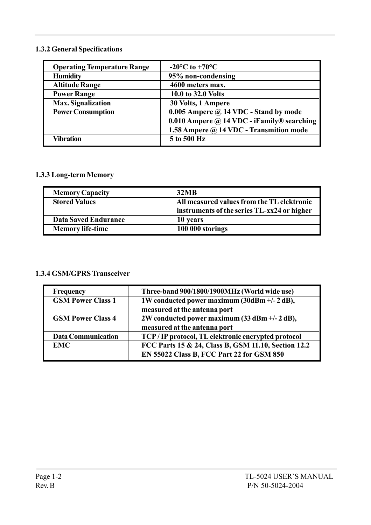#### 1.3.2 General Specifications

| <b>Operating Temperature Range</b> | $-20^{\circ}$ C to $+70^{\circ}$ C                 |
|------------------------------------|----------------------------------------------------|
| <b>Humidity</b>                    | 95% non-condensing                                 |
| <b>Altitude Range</b>              | 4600 meters max.                                   |
| <b>Power Range</b>                 | 10.0 to 32.0 Volts                                 |
| <b>Max. Signalization</b>          | 30 Volts, 1 Ampere                                 |
| <b>Power Consumption</b>           | 0.005 Ampere $\omega$ 14 VDC - Stand by mode       |
|                                    | 0.010 Ampere $\omega$ 14 VDC - iFamily ® searching |
|                                    | 1.58 Ampere @ 14 VDC - Transmition mode            |
| Vibration                          | 5 to 500 Hz                                        |

#### 1.3.3 Long-term Memory

| <b>Memory Capacity</b>      | <b>32MB</b>                                 |
|-----------------------------|---------------------------------------------|
| <b>Stored Values</b>        | All measured values from the TL elektronic  |
|                             | instruments of the series TL-xx24 or higher |
| <b>Data Saved Endurance</b> | 10 years                                    |
| <b>Memory life-time</b>     | 100 000 storings                            |

#### 1.3.4 GSM/GPRS Transceiver

| <b>Frequency</b>          | Three-band 900/1800/1900MHz (World wide use)        |
|---------------------------|-----------------------------------------------------|
| <b>GSM Power Class 1</b>  | 1W conducted power maximum (30dBm +/- 2 dB),        |
|                           | measured at the antenna port                        |
| <b>GSM Power Class 4</b>  | 2W conducted power maximum (33 dBm +/- 2 dB),       |
|                           | measured at the antenna port                        |
| <b>Data Communication</b> | TCP/IP protocol, TL elektronic encrypted protocol   |
| <b>EMC</b>                | FCC Parts 15 & 24, Class B, GSM 11.10, Section 12.2 |
|                           | EN 55022 Class B, FCC Part 22 for GSM 850           |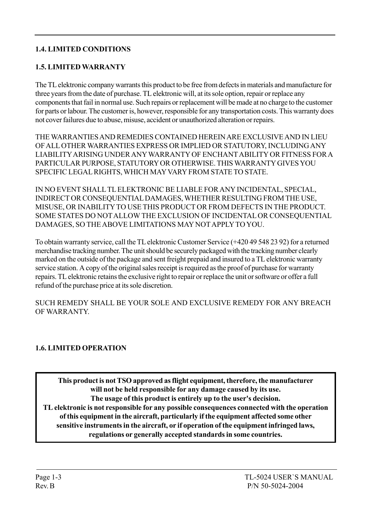#### 1.4. LIMITED CONDITIONS

#### 1.5. LIMITED WARRANTY

The TL elektronic company warrants this product to be free from defects in materials and manufacture for three years from the date of purchase. TL elektronic will, at its sole option, repair or replace any components that fail in normal use. Such repairs or replacement will be made at no charge to the customer for parts or labour. The customer is, however, responsible for any transportation costs. This warranty does not cover failures due to abuse, misuse, accident or unauthorized alteration or repairs.

THE WARRANTIES AND REMEDIES CONTAINED HEREIN ARE EXCLUSIVE AND IN LIEU OF ALL OTHER WARRANTIES EXPRESS OR IMPLIED OR STATUTORY, INCLUDING ANY LIABILITY ARISING UNDER ANY WARRANTY OF ENCHANT ABILITY OR FITNESS FOR A PARTICULAR PURPOSE, STATUTORY OR OTHERWISE. THIS WARRANTY GIVES YOU SPECIFIC LEGAL RIGHTS, WHICH MAY VARY FROM STATE TO STATE.

IN NO EVENT SHALL TL ELEKTRONIC BE LIABLE FOR ANY INCIDENTAL, SPECIAL, INDIRECT OR CONSEQUENTIAL DAMAGES, WHETHER RESULTING FROM THE USE, MISUSE, OR INABILITY TO USE THIS PRODUCT OR FROM DEFECTS IN THE PRODUCT. SOME STATES DO NOT ALLOW THE EXCLUSION OF INCIDENTAL OR CONSEQUENTIAL DAMAGES, SO THE ABOVE LIMITATIONS MAY NOT APPLY TO YOU.

To obtain warranty service, call the TL elektronic Customer Service (+420 49 548 23 92) for a returned merchandise tracking number. The unit should be securely packaged with the tracking number clearly marked on the outside of the package and sent freight prepaid and insured to a TL elektronic warranty service station. A copy of the original sales receipt is required as the proof of purchase for warranty repairs. TL elektronic retains the exclusive right to repair or replace the unit or software or offer a full refund of the purchase price at its sole discretion.

SUCH REMEDY SHALL BE YOUR SOLE AND EXCLUSIVE REMEDY FOR ANY BREACH OF WARRANTY.

#### 1.6. LIMITED OPERATION

This product is not TSO approved as flight equipment, therefore, the manufacturer will not be held responsible for any damage caused by its use. The usage of this product is entirely up to the user's decision. TL elektronic is not responsible for any possible consequences connected with the operation of this equipment in the aircraft, particularly if the equipment affected some other sensitive instruments in the aircraft, or if operation of the equipment infringed laws, regulations or generally accepted standards in some countries.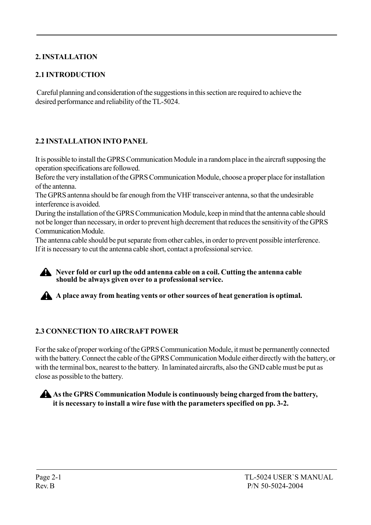#### 2. INSTALLATION

#### 2.1 INTRODUCTION

 Careful planning and consideration of the suggestions in this section are required to achieve the desired performance and reliability of the TL-5024.

#### 2.2 INSTALLATION INTO PANEL

It is possible to install the GPRS Communication Module in a random place in the aircraft supposing the operation specifications are followed.

Before the very installation of the GPRS Communication Module, choose a proper place for installation of the antenna.

The GPRS antenna should be far enough from the VHF transceiver antenna, so that the undesirable interference is avoided.

During the installation of the GPRS Communication Module, keep in mind that the antenna cable should not be longer than necessary, in order to prevent high decrement that reduces the sensitivity of the GPRS Communication Module.

The antenna cable should be put separate from other cables, in order to prevent possible interference. If it is necessary to cut the antenna cable short, contact a professional service.

#### Never fold or curl up the odd antenna cable on a coil. Cutting the antenna cable should be always given over to a professional service.

A A place away from heating vents or other sources of heat generation is optimal.

#### 2.3 CONNECTION TO AIRCRAFT POWER

For the sake of proper working of the GPRS Communication Module, it must be permanently connected with the battery. Connect the cable of the GPRS Communication Module either directly with the battery, or with the terminal box, nearest to the battery. In laminated aircrafts, also the GND cable must be put as close as possible to the battery.

#### As the GPRS Communication Module is continuously being charged from the battery, it is necessary to install a wire fuse with the parameters specified on pp. 3-2.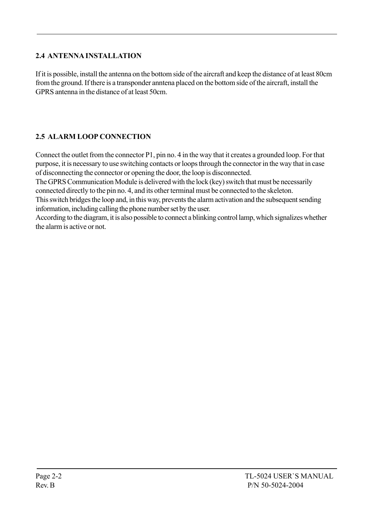#### 2.4 ANTENNA INSTALLATION

If it is possible, install the antenna on the bottom side of the aircraft and keep the distance of at least 80cm from the ground. If there is a transponder anntena placed on the bottom side of the aircraft, install the GPRS antenna in the distance of at least 50cm.

#### 2.5 ALARM LOOP CONNECTION

Connect the outlet from the connector P1, pin no. 4 in the way that it creates a grounded loop. For that purpose, it is necessary to use switching contacts or loops through the connector in the way that in case of disconnecting the connector or opening the door, the loop is disconnected.

The GPRS Communication Module is delivered with the lock (key) switch that must be necessarily connected directly to the pin no. 4, and its other terminal must be connected to the skeleton.

This switch bridges the loop and, in this way, prevents the alarm activation and the subsequent sending information, including calling the phone number set by the user.

According to the diagram, it is also possible to connect a blinking control lamp, which signalizes whether the alarm is active or not.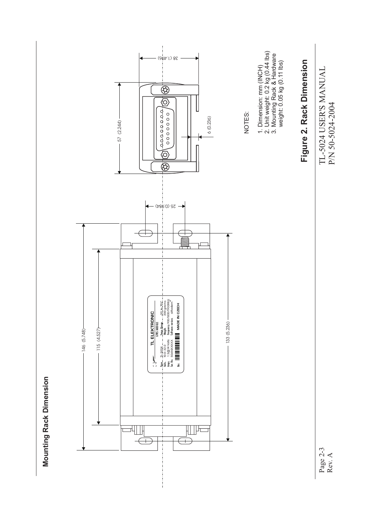

**Mounting Rack Dimension Mounting Rack Dimension**

Page 2-3 Rev. A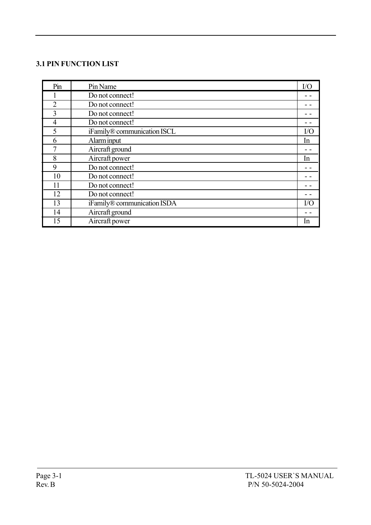#### 3.1 PIN FUNCTION LIST

| Pin            | Pin Name                    | I/O       |
|----------------|-----------------------------|-----------|
|                | Do not connect!             |           |
| $\overline{2}$ | Do not connect!             |           |
| 3              | Do not connect!             |           |
| $\overline{4}$ | Do not connect!             |           |
| 5              | iFamily® communication ISCL | $\rm I/O$ |
| 6              | Alarm input                 | In        |
|                | Aircraft ground             |           |
| 8              | Aircraft power              | In.       |
| 9              | Do not connect!             |           |
| 10             | Do not connect!             |           |
| 11             | Do not connect!             |           |
| 12             | Do not connect!             |           |
| 13             | iFamily® communication ISDA | I/O       |
| 14             | Aircraft ground             |           |
| 15             | Aircraft power              | In.       |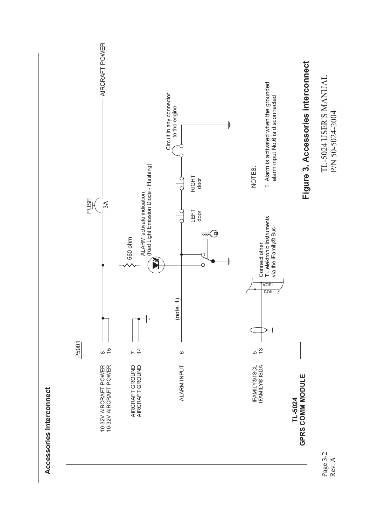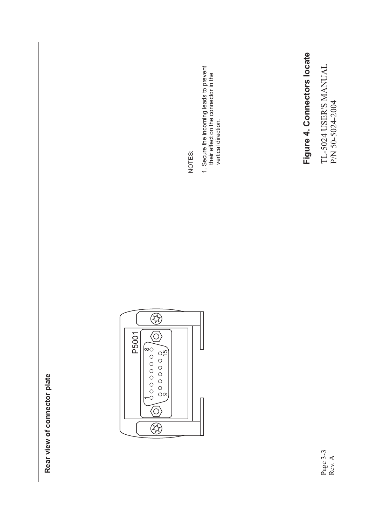TL-5024 USER'S MANUAL<br>P/N 50-5024-2004 TL-5024 USER'S MANUAL P/N 50-5024-2004

Page 3-3 Rev. A

# Figure 4. Connectors locate **Figure 4. Connectors locate**



1. Secure the incoming leads to prevent<br>their effect on the connector in the<br>vertical direction. 1. Secure the incoming leads to prevent their effect on the connector in the vertical direction.



Rear view of connector plate **Rear view of connector plate**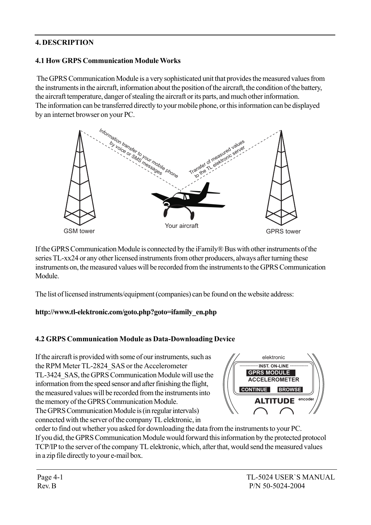#### 4. DESCRIPTION

#### 4.1 How GRPS Communication Module Works

 The GPRS Communication Module is a very sophisticated unit that provides the measured values from the instruments in the aircraft, information about the position of the aircraft, the condition of the battery, the aircraft temperature, danger of stealing the aircraft or its parts, and much other information. The information can be transferred directly to your mobile phone, or this information can be displayed by an internet browser on your PC.



If the GPRS Communication Module is connected by the iFamily $\mathbb B$  Bus with other instruments of the series TL-xx24 or any other licensed instruments from other producers, always after turning these instruments on, the measured values will be recorded from the instruments to the GPRS Communication Module.

The list of licensed instruments/equipment (companies) can be found on the website address:

#### http://www.tl-elektronic.com/goto.php?goto=ifamily\_en.php

#### 4.2 GRPS Communication Module as Data-Downloading Device

If the aircraft is provided with some of our instruments, such as the RPM Meter TL-2824\_SAS or the Accelerometer TL-3424\_SAS, the GPRS Communication Module will use the information from the speed sensor and after finishing the flight, the measured values will be recorded from the instruments into the memory of the GPRS Communication Module. The GPRS Communication Module is (in regular intervals) connected with the server of the company TL elektronic, in



order to find out whether you asked for downloading the data from the instruments to your PC. If you did, the GPRS Communication Module would forward this information by the protected protocol TCP/IP to the server of the company TL elektronic, which, after that, would send the measured values in a zip file directly to your e-mail box.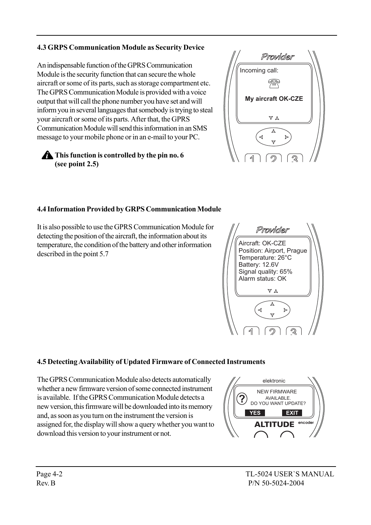#### 4.3 GRPS Communication Module as Security Device

An indispensable function of the GPRS Communication Module is the security function that can secure the whole aircraft or some of its parts, such as storage compartment etc. The GPRS Communication Module is provided with a voice output that will call the phone number you have set and will inform you in several languages that somebody is trying to steal your aircraft or some of its parts. After that, the GPRS Communication Module will send this information in an SMS message to your mobile phone or in an e-mail to your PC.

#### **This function is controlled by the pin no. 6** (see point 2.5)



#### 4.4 Information Provided by GRPS Communication Module

It is also possible to use the GPRS Communication Module for detecting the position of the aircraft, the information about its temperature, the condition of the battery and other information described in the point 5.7



#### 4.5 Detecting Availability of Updated Firmware of Connected Instruments

The GPRS Communication Module also detects automatically whether a new firmware version of some connected instrument is available. If the GPRS Communication Module detects a new version, this firmware will be downloaded into its memory and, as soon as you turn on the instrument the version is assigned for, the display will show a query whether you want to download this version to your instrument or not.

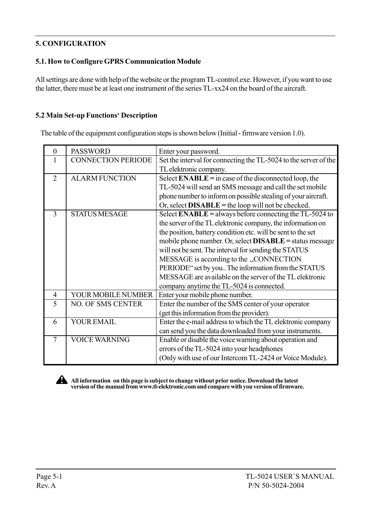#### 5. CONFIGURATION

#### 5.1. How to Configure GPRS Communication Module

All settings are done with help of the website or the program TL-control.exe. However, if you want to use the latter, there must be at least one instrument of the series TL-xx24 on the board of the aircraft.

#### 5.2 Main Set-up Functions' Description

The table of the equipment configuration steps is shown below (Initial - firmware version 1.0).

| $\Omega$       | <b>PASSWORD</b>           | Enter your password.                                             |
|----------------|---------------------------|------------------------------------------------------------------|
|                | <b>CONNECTION PERIODE</b> | Set the interval for connecting the TL-5024 to the server of the |
|                |                           | TL elektronic company.                                           |
| $\mathcal{D}$  | <b>ALARM FUNCTION</b>     | Select $ENABLE = in case of the disconnected loop, the$          |
|                |                           | TL-5024 will send an SMS message and call the set mobile         |
|                |                           | phone number to inform on possible stealing of your aircraft.    |
|                |                           | Or, select $DISABLE =$ the loop will not be checked.             |
| 3              | <b>STATUS MESAGE</b>      | Select ENABLE = always before connecting the TL-5024 to          |
|                |                           | the server of the TL elektronic company, the information on      |
|                |                           | the position, battery condition etc. will be sent to the set     |
|                |                           | mobile phone number. Or, select <b>DISABLE</b> = status message  |
|                |                           | will not be sent. The interval for sending the STATUS            |
|                |                           | MESSAGE is according to the "CONNECTION                          |
|                |                           | PERIODE" set by you The information from the STATUS              |
|                |                           | MESSAGE are available on the server of the TL elektronic         |
|                |                           | company anytime the TL-5024 is connected.                        |
| $\overline{4}$ | YOUR MOBILE NUMBER        | Enter your mobile phone number.                                  |
| 5              | <b>NO. OF SMS CENTER</b>  | Enter the number of the SMS center of your operator              |
|                |                           | (get this information from the provider).                        |
| 6              | <b>YOUR EMAIL</b>         | Enter the e-mail address to which the TL elektronic company      |
|                |                           | can send you the data downloaded from your instruments.          |
| 7              | <b>VOICE WARNING</b>      | Enable or disable the voice warning about operation and          |
|                |                           | errors of the TL-5024 into your headphones                       |
|                |                           | (Only with use of our Intercom TL-2424 or Voice Module).         |



All information on this page is subject to change without prior notice. Download the latest version of the manual from www.tl-elektronic.com and compare with you version of firmware.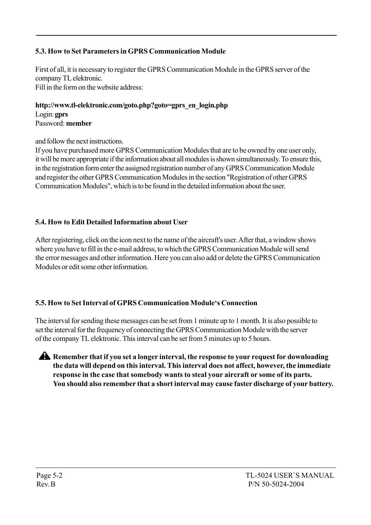#### 5.3. How to Set Parameters in GPRS Communication Module

First of all, it is necessary to register the GPRS Communication Module in the GPRS server of the company TL elektronic. Fill in the form on the website address:

http://www.tl-elektronic.com/goto.php?goto=gprs\_en\_login.php Login: gprs Password: member

and follow the next instructions.

If you have purchased more GPRS Communication Modules that are to be owned by one user only, it will be more appropriate if the information about all modules is shown simultaneously. To ensure this, in the registration form enter the assigned registration number of any GPRS Communication Module and register the other GPRS Communication Modules in the section "Registration of other GPRS Communication Modules", which is to be found in the detailed information about the user.

#### 5.4. How to Edit Detailed Information about User

After registering, click on the icon next to the name of the aircraft's user. After that, a window shows where you have to fill in the e-mail address, to which the GPRS Communication Module will send the error messages and other information. Here you can also add or delete the GPRS Communication Modules or edit some other information.

#### 5.5. How to Set Interval of GPRS Communication Moduleës Connection

The interval for sending these messages can be set from 1 minute up to 1 month. It is also possible to set the interval for the frequency of connecting the GPRS Communication Module with the server of the company TL elektronic. This interval can be set from 5 minutes up to 5 hours.

A Remember that if you set a longer interval, the response to your request for downloading the data will depend on this interval. This interval does not affect, however, the immediate response in the case that somebody wants to steal your aircraft or some of its parts. You should also remember that a short interval may cause faster discharge of your battery.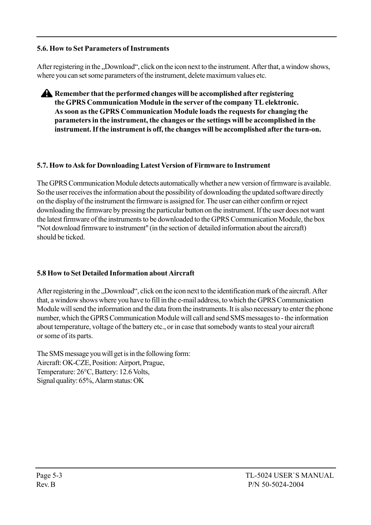#### 5.6. How to Set Parameters of Instruments

After registering in the "Download", click on the icon next to the instrument. After that, a window shows, where you can set some parameters of the instrument, delete maximum values etc.

Remember that the performed changes will be accomplished after registering the GPRS Communication Module in the server of the company TL elektronic. As soon as the GPRS Communication Module loads the requests for changing the parameters in the instrument, the changes or the settings will be accomplished in the instrument. If the instrument is off, the changes will be accomplished after the turn-on.

#### 5.7. How to Ask for Downloading Latest Version of Firmware to Instrument

The GPRS Communication Module detects automatically whether a new version of firmware is available. So the user receives the information about the possibility of downloading the updated software directly on the display of the instrument the firmware is assigned for. The user can either confirm or reject downloading the firmware by pressing the particular button on the instrument. If the user does not want the latest firmware of the instruments to be downloaded to the GPRS Communication Module, the box "Not download firmware to instrument" (in the section of detailed information about the aircraft) should be ticked.

#### 5.8 How to Set Detailed Information about Aircraft

After registering in the "Download", click on the icon next to the identification mark of the aircraft. After that, a window shows where you have to fill in the e-mail address, to which the GPRS Communication Module will send the information and the data from the instruments. It is also necessary to enter the phone number, which the GPRS Communication Module will call and send SMS messages to - the information about temperature, voltage of the battery etc., or in case that somebody wants to steal your aircraft or some of its parts.

The SMS message you will get is in the following form: Aircraft: OK-CZE, Position: Airport, Prague, Temperature: 26°C, Battery: 12.6 Volts, Signal quality: 65%, Alarm status: OK